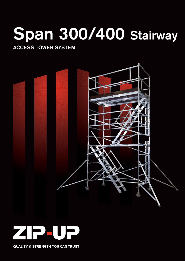# **Span 300/400 Stairway**

### **ACCESS TOWER SYSTEM**





**QUALITY & STRENGTH YOU CAN TRUST**